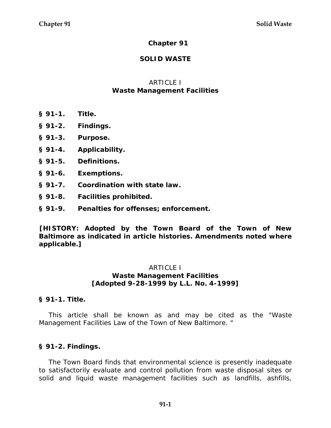# **Chapter 91**

### **SOLID WASTE**

### **ARTICLE I Waste Management Facilities**

- **§ 91-1. Title.**
- **§ 91-2. Findings.**
- **§ 91-3. Purpose.**
- **§ 91-4. Applicability.**
- **§ 91-5. Definitions.**
- **§ 91-6. Exemptions.**
- **§ 91-7. Coordination with state law.**
- **§ 91-8. Facilities prohibited.**
- **§ 91-9. Penalties for offenses; enforcement.**

**[HISTORY: Adopted by the Town Board of the Town of New Baltimore as indicated in article histories. Amendments noted where applicable.]** 

### ARTICLE I

#### **Waste Management Facilities [Adopted 9-28-1999 by L.L. No. 4-1999]**

### **§ 91-1. Title.**

This article shall be known as and may be cited as the "Waste Management Facilities Law of the Town of New Baltimore. "

### **§ 91-2. Findings.**

The Town Board finds that environmental science is presently inadequate to satisfactorily evaluate and control pollution from waste disposal sites or solid and liquid waste management facilities such as landfills, ashfills,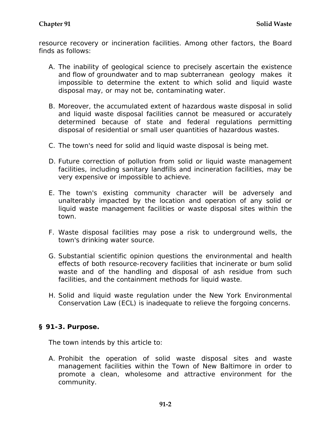resource recovery or incineration facilities. Among other factors, the Board finds as follows:

- A. The inability of geological science to precisely ascertain the existence and flow of groundwater and to map subterranean geology makes it impossible to determine the extent to which solid and liquid waste disposal may, or may not be, contaminating water.
- B. Moreover, the accumulated extent of hazardous waste disposal in solid and liquid waste disposal facilities cannot be measured or accurately determined because of state and federal regulations permitting disposal of residential or small user quantities of hazardous wastes.
- C. The town's need for solid and liquid waste disposal is being met.
- D. Future correction of pollution from solid or liquid waste management facilities, including sanitary landfills and incineration facilities, may be very expensive or impossible to achieve.
- E. The town's existing community character will be adversely and unalterably impacted by the location and operation of any solid or liquid waste management facilities or waste disposal sites within the town.
- F. Waste disposal facilities may pose a risk to underground wells, the town's drinking water source.
- G. Substantial scientific opinion questions the environmental and health effects of both resource-recovery facilities that incinerate or bum solid waste and of the handling and disposal of ash residue from such facilities, and the containment methods for liquid waste.
- H. Solid and liquid waste regulation under the New York Environmental Conservation Law (ECL) is inadequate to relieve the forgoing concerns.

### **§ 91-3. Purpose.**

The town intends by this article to:

A. Prohibit the operation of solid waste disposal sites and waste management facilities within the Town of New Baltimore in order to promote a clean, wholesome and attractive environment for the community.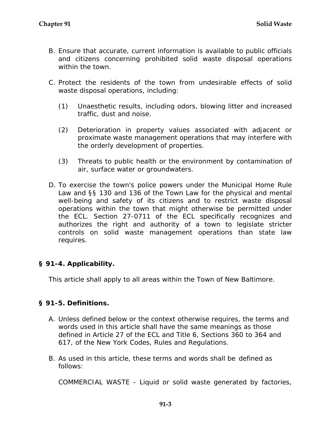- B. Ensure that accurate, current information is available to public officials and citizens concerning prohibited solid waste disposal operations within the town.
- C. Protect the residents of the town from undesirable effects of solid waste disposal operations, including:
	- (1) Unaesthetic results, including odors, blowing litter and increased traffic, dust and noise.
	- (2) Deterioration in property values associated with adjacent or proximate waste management operations that may interfere with the orderly development of properties.
	- (3) Threats to public health or the environment by contamination of air, surface water or groundwaters.
- D. To exercise the town's police powers under the Municipal Home Rule Law and §§ 130 and 136 of the Town Law for the physical and mental well-being and safety of its citizens and to restrict waste disposal operations within the town that might otherwise be permitted under the ECL. Section 27-0711 of the ECL specifically recognizes and authorizes the right and authority of a town to legislate stricter controls on solid waste management operations than state law requires.

### **§ 91-4. Applicability.**

This article shall apply to all areas within the Town of New Baltimore.

### **§ 91-5. Definitions.**

- A. Unless defined below or the context otherwise requires, the terms and words used in this article shall have the same meanings as those defined in Article 27 of the ECL and Title 6, Sections 360 to 364 and 617, of the New York Codes, Rules and Regulations.
- B. As used in this article, these terms and words shall be defined as follows:

COMMERCIAL WASTE - Liquid or solid waste generated by factories,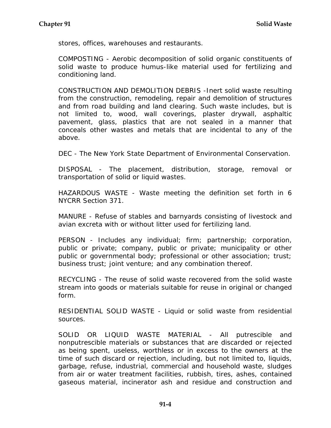stores, offices, warehouses and restaurants.

COMPOSTING - Aerobic decomposition of solid organic constituents of solid waste to produce humus-like material used for fertilizing and conditioning land.

CONSTRUCTION AND DEMOLITION DEBRIS -Inert solid waste resulting from the construction, remodeling, repair and demolition of structures and from road building and land clearing. Such waste includes, but is not limited to, wood, wall coverings, plaster drywall, asphaltic pavement, glass, plastics that are not sealed in a manner that conceals other wastes and metals that are incidental to any of the above.

DEC - The New York State Department of Environmental Conservation.

DISPOSAL - The placement, distribution, storage, removal or transportation of solid or liquid wastes.

HAZARDOUS WASTE - Waste meeting the definition set forth in 6 NYCRR Section 371.

MANURE - Refuse of stables and barnyards consisting of livestock and avian excreta with or without litter used for fertilizing land.

PERSON - Includes any individual; firm; partnership; corporation, public or private; company, public or private; municipality or other public or governmental body; professional or other association; trust; business trust; joint venture; and any combination thereof.

RECYCLING - The reuse of solid waste recovered from the solid waste stream into goods or materials suitable for reuse in original or changed form.

RESIDENTIAL SOLID WASTE - Liquid or solid waste from residential sources.

SOLID OR LIQUID WASTE MATERIAL - All putrescible and nonputrescible materials or substances that are discarded or rejected as being spent, useless, worthless or in excess to the owners at the time of such discard or rejection, including, but not limited to, liquids, garbage, refuse, industrial, commercial and household waste, sludges from air or water treatment facilities, rubbish, tires, ashes, contained gaseous material, incinerator ash and residue and construction and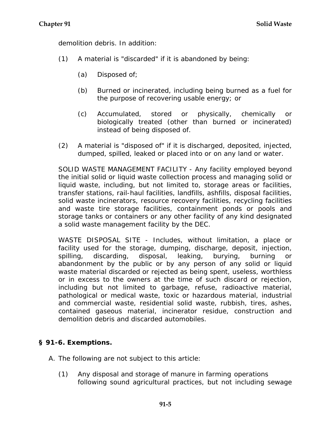demolition debris. In addition:

- (1) A material is "discarded" if it is abandoned by being:
	- (a) Disposed of;
	- (b) Burned or incinerated, including being burned as a fuel for the purpose of recovering usable energy; or
	- (c) Accumulated, stored or physically, chemically or biologically treated (other than burned or incinerated) instead of being disposed of.
- (2) A material is "disposed of" if it is discharged, deposited, injected, dumped, spilled, leaked or placed into or on any land or water.

SOLID WASTE MANAGEMENT FACILITY - Any facility employed beyond the initial solid or liquid waste collection process and managing solid or liquid waste, including, but not limited to, storage areas or facilities, transfer stations, rail-haul facilities, landfills, ashfills, disposal facilities, solid waste incinerators, resource recovery facilities, recycling facilities and waste tire storage facilities, containment ponds or pools and storage tanks or containers or any other facility of any kind designated a solid waste management facility by the DEC.

WASTE DISPOSAL SITE - Includes, without limitation, a place or facility used for the storage, dumping, discharge, deposit, injection, spilling, discarding, disposal, leaking, burying, burning or abandonment by the public or by any person of any solid or liquid waste material discarded or rejected as being spent, useless, worthless or in excess to the owners at the time of such discard or rejection, including but not limited to garbage, refuse, radioactive material, pathological or medical waste, toxic or hazardous material, industrial and commercial waste, residential solid waste, rubbish, tires, ashes, contained gaseous material, incinerator residue, construction and demolition debris and discarded automobiles.

# **§ 91-6. Exemptions.**

- A. The following are not subject to this article:
	- (1) Any disposal and storage of manure in farming operations following sound agricultural practices, but not including sewage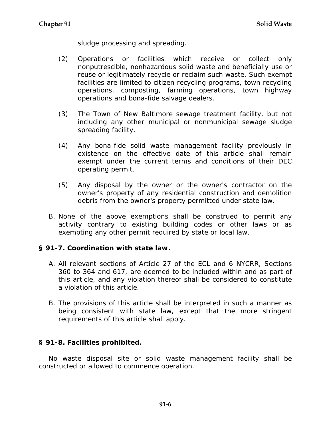sludge processing and spreading.

- (2) Operations or facilities which receive or collect only nonputrescible, nonhazardous solid waste and beneficially use or reuse or legitimately recycle or reclaim such waste. Such exempt facilities are limited to citizen recycling programs, town recycling operations, composting, farming operations, town highway operations and bona-fide salvage dealers.
- (3) The Town of New Baltimore sewage treatment facility, but not including any other municipal or nonmunicipal sewage sludge spreading facility.
- (4) Any bona-fide solid waste management facility previously in existence on the effective date of this article shall remain exempt under the current terms and conditions of their DEC operating permit.
- (5) Any disposal by the owner or the owner's contractor on the owner's property of any residential construction and demolition debris from the owner's property permitted under state law.
- B. None of the above exemptions shall be construed to permit any activity contrary to existing building codes or other laws or as exempting any other permit required by state or local law.

# **§ 91-7. Coordination with state law.**

- A. All relevant sections of Article 27 of the ECL and 6 NYCRR, Sections 360 to 364 and 617, are deemed to be included within and as part of this article, and any violation thereof shall be considered to constitute a violation of this article.
- B. The provisions of this article shall be interpreted in such a manner as being consistent with state law, except that the more stringent requirements of this article shall apply.

### **§ 91-8. Facilities prohibited.**

No waste disposal site or solid waste management facility shall be constructed or allowed to commence operation.